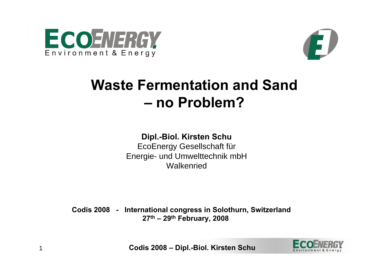

1



## **Waste Fermentation and Sand – no Problem?**

#### **Dipl.-Biol. Kirsten Schu**

EcoEnergy Gesellschaft für Energie- und Umwelttechnik mbH **Walkenried** 

**Codis 2008 - International congress in Solothurn, Switzerland 27th – 29th February, 2008**

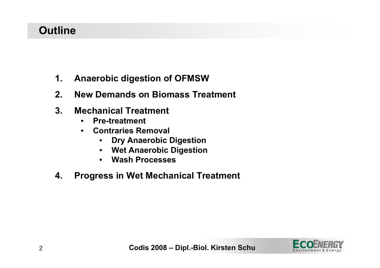### **Outline**

- **1. Anaerobic digestion of OFMSW**
- **2. New Demands on Biomass Treatment**
- **3. Mechanical Treatment**
	- •**Pre-treatment**
	- • **Contraries Removal**
		- •**Dry Anaerobic Digestion**
		- $\bullet$ **Wet Anaerobic Digestion**
		- •**Wash Processes**
- **4. Progress in Wet Mechanical Treatment**

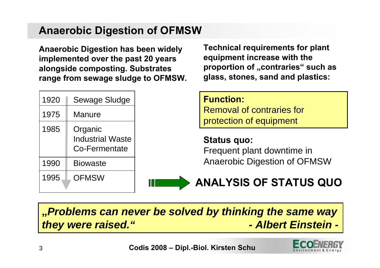### **Anaerobic Digestion of OFMSW**

**Anaerobic Digestion has been widely implemented over the past 20 years alongside composting. Substrates range from sewage sludge to OFMSW.**

| 1920 | <b>Sewage Sludge</b>                                       |
|------|------------------------------------------------------------|
| 1975 | Manure                                                     |
| 1985 | Organic<br><b>Industrial Waste</b><br><b>Co-Fermentate</b> |
| 1990 | <b>Biowaste</b>                                            |
| 1995 | OFMSW                                                      |

**Technical requirements for plant equipment increase with the proportion of "contraries" such as glass, stones, sand and plastics:**

**Function:**

Removal of contraries for protection of equipment

**Status quo:** Frequent plant downtime in Anaerobic Digestion of OFMSW



## **ANALYSIS OF STATUS QUO**

### **"***Problems can never be solved by thinking the same way they were raised." - Albert Einstein -*

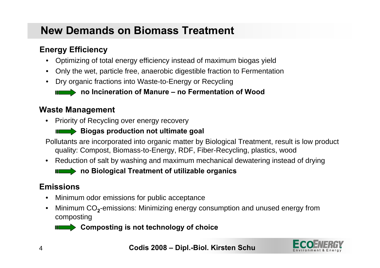### **New Demands on Biomass Treatment**

#### **Energy Efficiency**

- $\bullet$ Optimizing of total energy efficiency instead of maximum biogas yield
- $\bullet$ Only the wet, particle free, anaerobic digestible fraction to Fermentation
- $\bullet$ Dry organic fractions into Waste-to-Energy or Recycling

**no Incineration of Manure – no Fermentation of Wood**

#### **Waste Management**

•Priority of Recycling over energy recovery



Pollutants are incorporated into organic matter by Biological Treatment, result is low product quality: Compost, Biomass-to-Energy, RDF, Fiber-Recycling, plastics, wood

 $\bullet$ Reduction of salt by washing and maximum mechanical dewatering instead of drying

**no Biological Treatment of utilizable organics** 

#### **Emissions**

- •Minimum odor emissions for public acceptance
- • Minimum CO **<sup>2</sup>**-emissions: Minimizing energy consumption and unused energy from composting

*II* **Composting** is not technology of choice

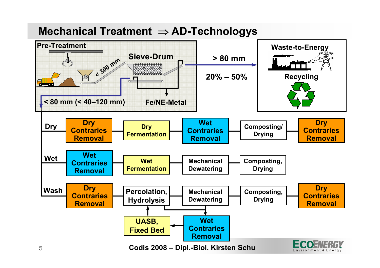### **Mechanical Treatment**  ⇒ **AD-Technologys**

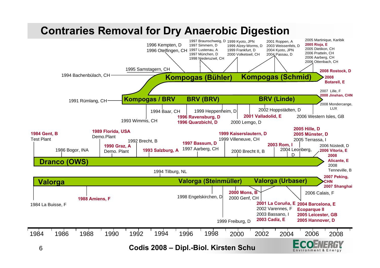### **Contraries Removal for Dry Anaerobic Digestion**

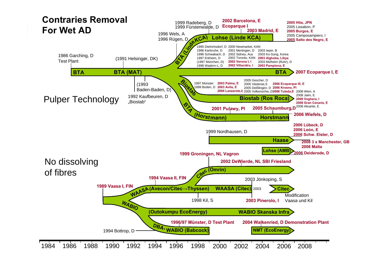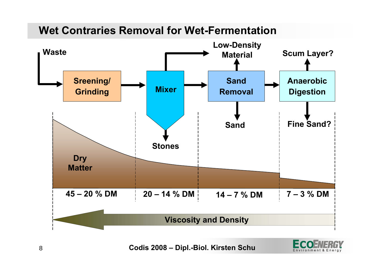### **Wet Contraries Removal for Wet-Fermentation**



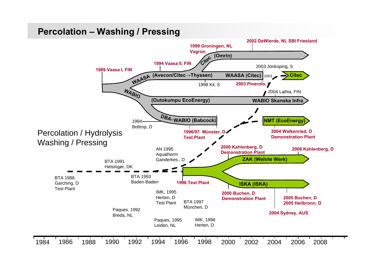#### **Percolation – Washing / Pressing**

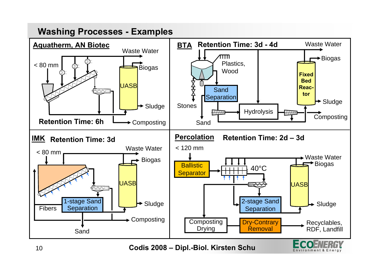#### **Washing Processes - Examples**



Environment & Energy

10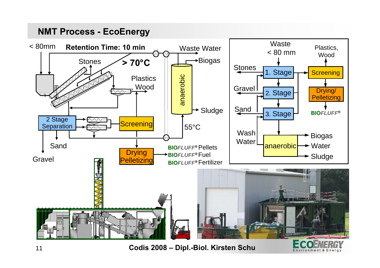#### **NMT Process - EcoEnergy**



**Codis 2008 – Dipl.-Biol. Kirsten Schu**

Environment & Energy